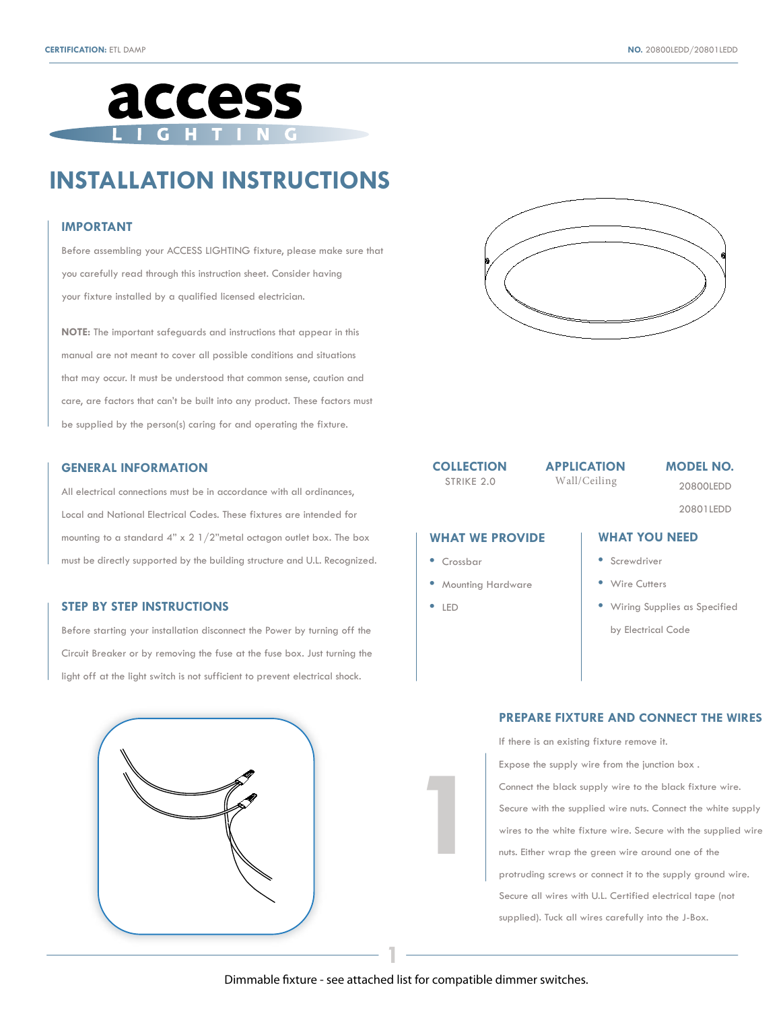

# **INSTALLATION INSTRUCTIONS**

#### **IMPORTANT**

Before assembling your ACCESS LIGHTING fixture, please make sure that you carefully read through this instruction sheet. Consider having your fixture installed by a qualified licensed electrician.

**NOTE:** The important safeguards and instructions that appear in this manual are not meant to cover all possible conditions and situations that may occur. It must be understood that common sense, caution and care, are factors that can't be built into any product. These factors must be supplied by the person(s) caring for and operating the fixture.

#### **GENERAL INFORMATION**

All electrical connections must be in accordance with all ordinances, Local and National Electrical Codes. These fixtures are intended for mounting to a standard 4" x 2 1/2"metal octagon outlet box. The box must be directly supported by the building structure and U.L. Recognized.

### **STEP BY STEP INSTRUCTIONS**

Before starting your installation disconnect the Power by turning off the Circuit Breaker or by removing the fuse at the fuse box. Just turning the light off at the light switch is not sufficient to prevent electrical shock.





**COLLECTION** 

STRIKE 2.0 Wall/Ceiling

**APPLICATION MODEL NO.**

20800LEDD

20801LEDD

#### **WHAT WE PROVIDE**

- **•** Crossbar
- **•** Mounting Hardware
- **•** LED

**1**

## **WHAT YOU NEED**

- **•** Screwdriver
- **•** Wire Cutters
- **•** Wiring Supplies as Specified

by Electrical Code

### **PREPARE FIXTURE AND CONNECT THE WIRES**

If there is an existing fixture remove it.

Expose the supply wire from the junction box . Connect the black supply wire to the black fixture wire. Secure with the supplied wire nuts. Connect the white supply wires to the white fixture wire. Secure with the supplied wire nuts. Either wrap the green wire around one of the protruding screws or connect it to the supply ground wire. Secure all wires with U.L. Certified electrical tape (not supplied). Tuck all wires carefully into the J-Box.

**1**